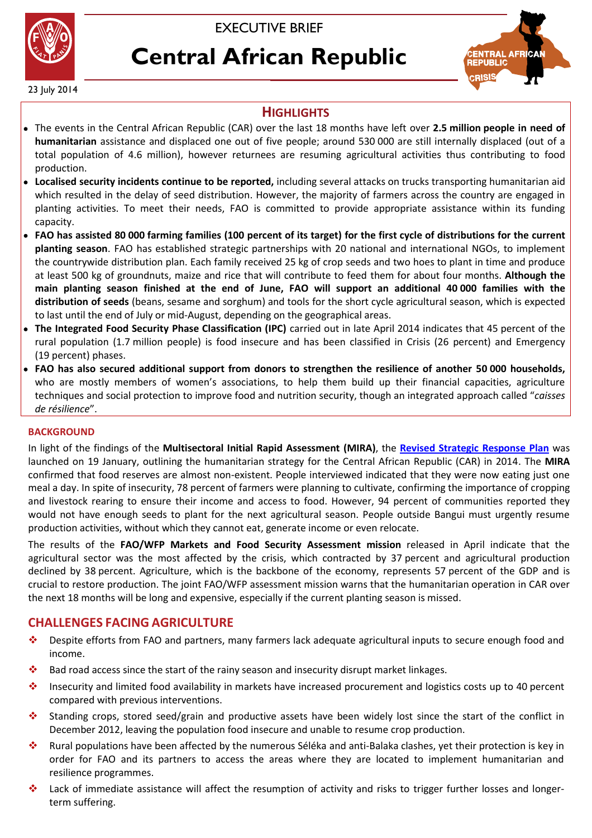



# **Central African Republic**



23 July 2014

## **HIGHLIGHTS**

- The events in the Central African Republic (CAR) over the last 18 months have left over **2.5 million people in need of humanitarian** assistance and displaced one out of five people; around 530 000 are still internally displaced (out of a total population of 4.6 million), however returnees are resuming agricultural activities thus contributing to food production.
- **Localised security incidents continue to be reported,** including several attacks on trucks transporting humanitarian aid which resulted in the delay of seed distribution. However, the majority of farmers across the country are engaged in planting activities. To meet their needs, FAO is committed to provide appropriate assistance within its funding capacity.
- **FAO has assisted 80 000 farming families (100 percent of its target) for the first cycle of distributions for the current planting season**. FAO has established strategic partnerships with 20 national and international NGOs, to implement the countrywide distribution plan. Each family received 25 kg of crop seeds and two hoes to plant in time and produce at least 500 kg of groundnuts, maize and rice that will contribute to feed them for about four months. **Although the main planting season finished at the end of June, FAO will support an additional 40 000 families with the distribution of seeds** (beans, sesame and sorghum) and tools for the short cycle agricultural season, which is expected to last until the end of July or mid-August, depending on the geographical areas.
- **The Integrated Food Security Phase Classification (IPC)** carried out in late April 2014 indicates that 45 percent of the rural population (1.7 million people) is food insecure and has been classified in Crisis (26 percent) and Emergency (19 percent) phases.
- **FAO has also secured additional support from donors to strengthen the resilience of another 50 000 households,**  who are mostly members of women's associations, to help them build up their financial capacities, agriculture techniques and social protection to improve food and nutrition security, though an integrated approach called "*caisses de résilience*".

#### **BACKGROUND**

In light of the findings of the **Multisectoral Initial Rapid Assessment (MIRA)**, the **[Revised Strategic Response Plan](http://reliefweb.int/sites/reliefweb.int/files/resources/Revision_2014_CAR_0.pdf)** was launched on 19 January, outlining the humanitarian strategy for the Central African Republic (CAR) in 2014. The **MIRA** confirmed that food reserves are almost non-existent. People interviewed indicated that they were now eating just one meal a day. In spite of insecurity, 78 percent of farmers were planning to cultivate, confirming the importance of cropping and livestock rearing to ensure their income and access to food. However, 94 percent of communities reported they would not have enough seeds to plant for the next agricultural season. People outside Bangui must urgently resume production activities, without which they cannot eat, generate income or even relocate.

The results of the **FAO/WFP Markets and Food Security Assessment mission** released in April indicate that the agricultural sector was the most affected by the crisis, which contracted by 37 percent and agricultural production declined by 38 percent. Agriculture, which is the backbone of the economy, represents 57 percent of the GDP and is crucial to restore production. The joint FAO/WFP assessment mission warns that the humanitarian operation in CAR over the next 18 months will be long and expensive, especially if the current planting season is missed.

## **CHALLENGES FACING AGRICULTURE**

- Despite efforts from FAO and partners, many farmers lack adequate agricultural inputs to secure enough food and income.
- $\bullet$  Bad road access since the start of the rainy season and insecurity disrupt market linkages.
- Insecurity and limited food availability in markets have increased procurement and logistics costs up to 40 percent compared with previous interventions.
- Standing crops, stored seed/grain and productive assets have been widely lost since the start of the conflict in December 2012, leaving the population food insecure and unable to resume crop production.
- Rural populations have been affected by the numerous Séléka and anti-Balaka clashes, yet their protection is key in order for FAO and its partners to access the areas where they are located to implement humanitarian and resilience programmes.
- Lack of immediate assistance will affect the resumption of activity and risks to trigger further losses and longerterm suffering.